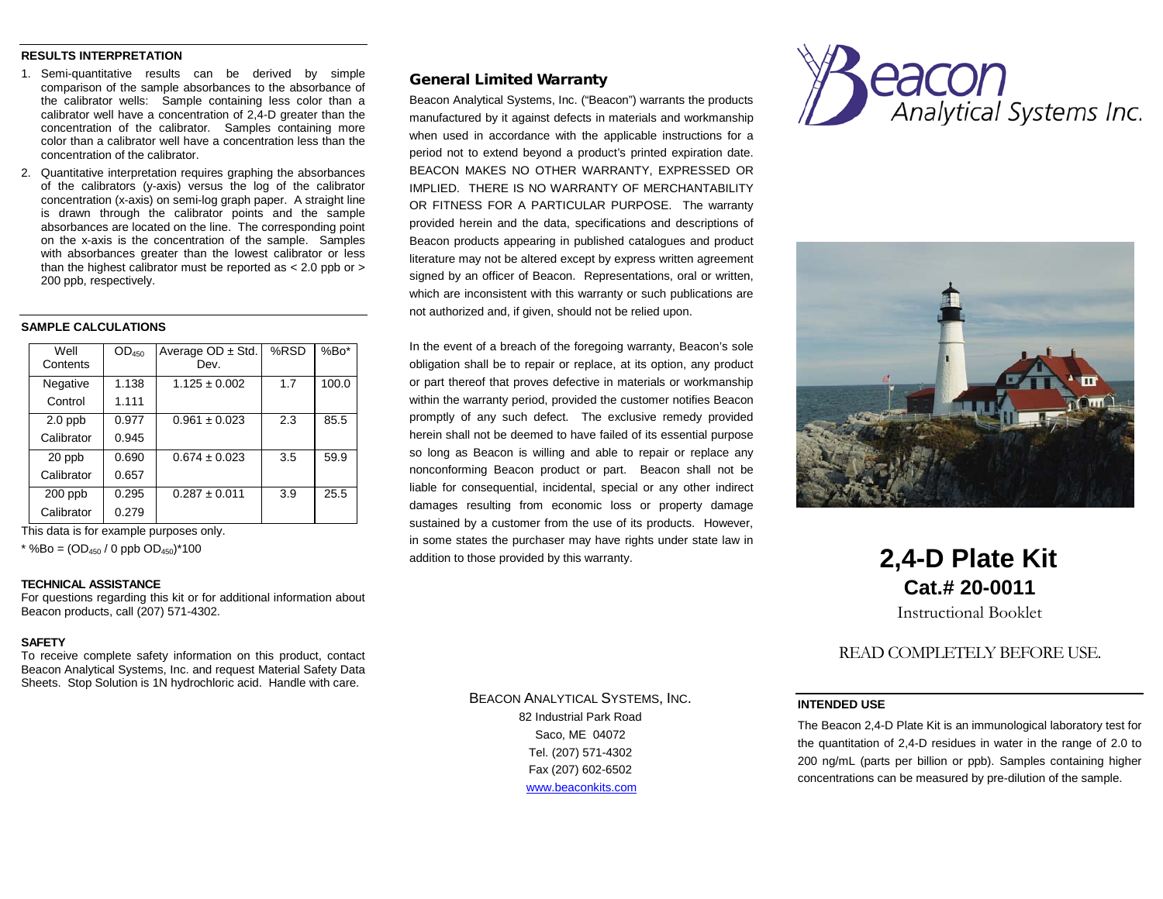#### **RESULTS INTERPRETATION**

- 1. Semi-quantitative results can be derived by simple comparison of the sample absorbances to the absorbance of the calibrator wells: Sample containing less color than a calibrator well have a concentration of 2,4-D greater than the concentration of the calibrator. Samples containing more color than a calibrator well have a concentration less than the concentration of the calibrator.
- 2. Quantitative interpretation requires graphing the absorbances of the calibrators (y-axis) versus the log of the calibrator concentration (x-axis) on semi-log graph paper. A straight line is drawn through the calibrator points and the sample absorbances are located on the line. The corresponding point on the x-axis is the concentration of the sample. Samples with absorbances greater than the lowest calibrator or less than the highest calibrator must be reported as < 2.0 ppb or > 200 ppb, respectively.

#### **SAMPLE CALCULATIONS**

| Well<br>Contents | OD <sub>450</sub> | Average $OD \pm Std$ .<br>Dev. | %RSD | $%Bo*$ |
|------------------|-------------------|--------------------------------|------|--------|
| Negative         | 1.138             | $1.125 \pm 0.002$              | 1.7  | 100.0  |
| Control          | 1.111             |                                |      |        |
| $2.0$ ppb        | 0.977             | $0.961 \pm 0.023$              | 2.3  | 85.5   |
| Calibrator       | 0.945             |                                |      |        |
| 20 ppb           | 0.690             | $0.674 \pm 0.023$              | 3.5  | 59.9   |
| Calibrator       | 0.657             |                                |      |        |
| $200$ ppb        | 0.295             | $0.287 \pm 0.011$              | 3.9  | 25.5   |
| Calibrator       | 0.279             |                                |      |        |

This data is for example purposes only.

\* %Bo =  $OD_{450}$  / 0 ppb  $OD_{450}$ )\*100

#### **TECHNICAL ASSISTANCE**

For questions regarding this kit or for additional information about Beacon products, call (207) 571-4302.

#### **SAFETY**

To receive complete safety information on this product, contact Beacon Analytical Systems, Inc. and request Material Safety Data Sheets. Stop Solution is 1N hydrochloric acid. Handle with care.

# General Limited Warranty

Beacon Analytical Systems, Inc. ("Beacon") warrants the products manufactured by it against defects in materials and workmanship when used in accordance with the applicable instructions for a period not to extend beyond a product's printed expiration date. BEACON MAKES NO OTHER WARRANTY, EXPRESSED OR IMPLIED. THERE IS NO WARRANTY OF MERCHANTABILITY OR FITNESS FOR A PARTICULAR PURPOSE. The warranty provided herein and the data, specifications and descriptions of Beacon products appearing in published catalogues and product literature may not be altered except by express written agreement signed by an officer of Beacon. Representations, oral or written, which are inconsistent with this warranty or such publications are not authorized and, if given, should not be relied upon.

In the event of a breach of the foregoing warranty, Beacon's sole obligation shall be to repair or replace, at its option, any product or part thereof that proves defective in materials or workmanship within the warranty period, provided the customer notifies Beacon promptly of any such defect. The exclusive remedy provided herein shall not be deemed to have failed of its essential purpose so long as Beacon is willing and able to repair or replace any nonconforming Beacon product or part. Beacon shall not be liable for consequential, incidental, special or any other indirect damages resulting from economic loss or property damage sustained by a customer from the use of its products. However, in some states the purchaser may have rights under state law in addition to those provided by this warranty.

> BEACON ANALYTICAL SYSTEMS, INC. 82 Industrial Park Road Saco, ME 04072 Tel. (207) 571-4302 Fax (207) 602-6502 [www.beaconkits.com](http://www.beaconkits.com/)





# **2,4-D Plate Kit Cat.# 20-0011**

Instructional Booklet

# READ COMPLETELY BEFORE USE.

# **INTENDED USE**

The Beacon 2,4-D Plate Kit is an immunological laboratory test for the quantitation of 2,4-D residues in water in the range of 2.0 to 200 ng/mL (parts per billion or ppb). Samples containing higher concentrations can be measured by pre-dilution of the sample.